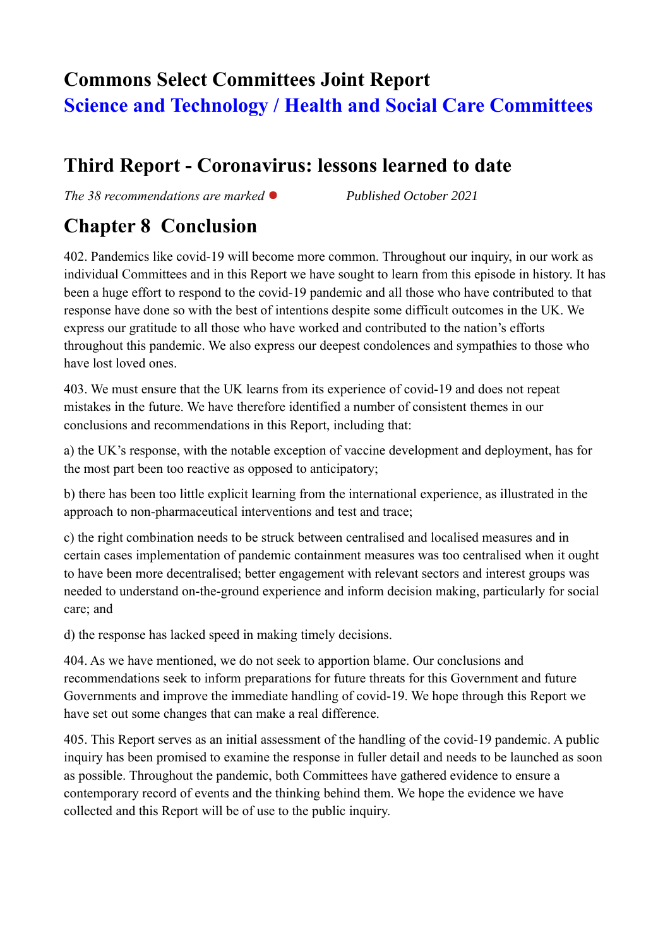# **Commons Select Committees Joint Report Science and Technology / Health and Social Care Committees**

## **Third Report - Coronavirus: lessons learned to date**

*The 38 recommendations are marked* *Published October 2021*

## **Chapter 8 Conclusion**

402. Pandemics like covid-19 will become more common. Throughout our inquiry, in our work as individual Committees and in this Report we have sought to learn from this episode in history. It has been a huge effort to respond to the covid-19 pandemic and all those who have contributed to that response have done so with the best of intentions despite some difficult outcomes in the UK. We express our gratitude to all those who have worked and contributed to the nation's efforts throughout this pandemic. We also express our deepest condolences and sympathies to those who have lost loved ones.

403. We must ensure that the UK learns from its experience of covid-19 and does not repeat mistakes in the future. We have therefore identified a number of consistent themes in our conclusions and recommendations in this Report, including that:

a) the UK's response, with the notable exception of vaccine development and deployment, has for the most part been too reactive as opposed to anticipatory;

b) there has been too little explicit learning from the international experience, as illustrated in the approach to non-pharmaceutical interventions and test and trace;

c) the right combination needs to be struck between centralised and localised measures and in certain cases implementation of pandemic containment measures was too centralised when it ought to have been more decentralised; better engagement with relevant sectors and interest groups was needed to understand on-the-ground experience and inform decision making, particularly for social care; and

d) the response has lacked speed in making timely decisions.

404. As we have mentioned, we do not seek to apportion blame. Our conclusions and recommendations seek to inform preparations for future threats for this Government and future Governments and improve the immediate handling of covid-19. We hope through this Report we have set out some changes that can make a real difference.

405. This Report serves as an initial assessment of the handling of the covid-19 pandemic. A public inquiry has been promised to examine the response in fuller detail and needs to be launched as soon as possible. Throughout the pandemic, both Committees have gathered evidence to ensure a contemporary record of events and the thinking behind them. We hope the evidence we have collected and this Report will be of use to the public inquiry.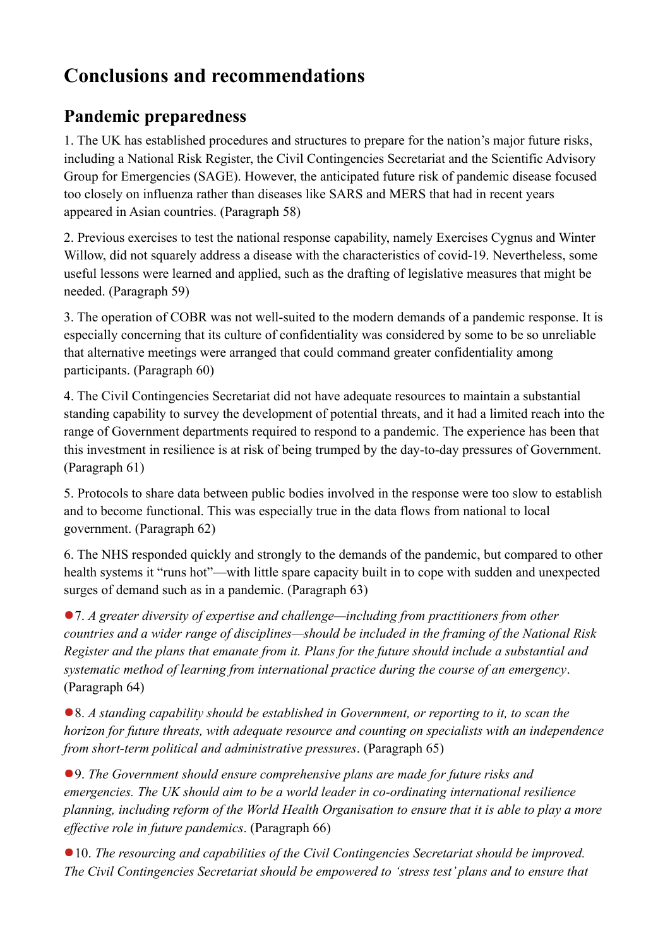# **Conclusions and recommendations**

## **Pandemic preparedness**

1. The UK has established procedures and structures to prepare for the nation's major future risks, including a National Risk Register, the Civil Contingencies Secretariat and the Scientific Advisory Group for Emergencies (SAGE). However, the anticipated future risk of pandemic disease focused too closely on influenza rather than diseases like SARS and MERS that had in recent years appeared in Asian countries. (Paragraph 58)

2. Previous exercises to test the national response capability, namely Exercises Cygnus and Winter Willow, did not squarely address a disease with the characteristics of covid-19. Nevertheless, some useful lessons were learned and applied, such as the drafting of legislative measures that might be needed. (Paragraph 59)

3. The operation of COBR was not well-suited to the modern demands of a pandemic response. It is especially concerning that its culture of confidentiality was considered by some to be so unreliable that alternative meetings were arranged that could command greater confidentiality among participants. (Paragraph 60)

4. The Civil Contingencies Secretariat did not have adequate resources to maintain a substantial standing capability to survey the development of potential threats, and it had a limited reach into the range of Government departments required to respond to a pandemic. The experience has been that this investment in resilience is at risk of being trumped by the day-to-day pressures of Government. (Paragraph 61)

5. Protocols to share data between public bodies involved in the response were too slow to establish and to become functional. This was especially true in the data flows from national to local government. (Paragraph 62)

6. The NHS responded quickly and strongly to the demands of the pandemic, but compared to other health systems it "runs hot"—with little spare capacity built in to cope with sudden and unexpected surges of demand such as in a pandemic. (Paragraph 63)

7. *A greater diversity of expertise and challenge—including from practitioners from other countries and a wider range of disciplines—should be included in the framing of the National Risk Register and the plans that emanate from it. Plans for the future should include a substantial and systematic method of learning from international practice during the course of an emergency*. (Paragraph 64)

8. *A standing capability should be established in Government, or reporting to it, to scan the horizon for future threats, with adequate resource and counting on specialists with an independence from short-term political and administrative pressures*. (Paragraph 65)

9. *The Government should ensure comprehensive plans are made for future risks and emergencies. The UK should aim to be a world leader in co-ordinating international resilience planning, including reform of the World Health Organisation to ensure that it is able to play a more effective role in future pandemics*. (Paragraph 66)

10. *The resourcing and capabilities of the Civil Contingencies Secretariat should be improved. The Civil Contingencies Secretariat should be empowered to 'stress test' plans and to ensure that*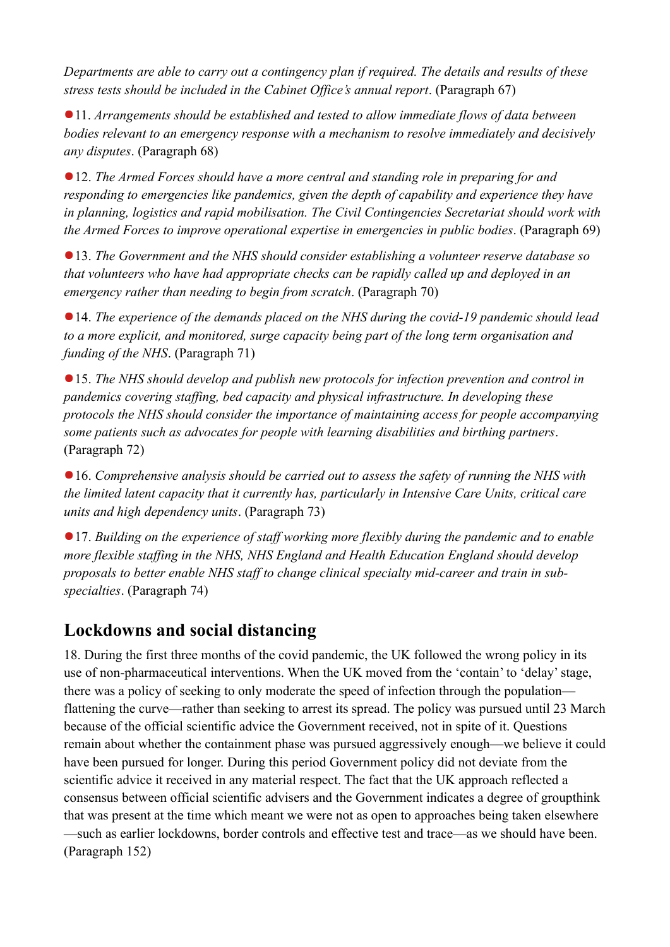*Departments are able to carry out a contingency plan if required. The details and results of these stress tests should be included in the Cabinet Office's annual report*. (Paragraph 67)

11. *Arrangements should be established and tested to allow immediate flows of data between bodies relevant to an emergency response with a mechanism to resolve immediately and decisively any disputes*. (Paragraph 68)

12. *The Armed Forces should have a more central and standing role in preparing for and responding to emergencies like pandemics, given the depth of capability and experience they have in planning, logistics and rapid mobilisation. The Civil Contingencies Secretariat should work with the Armed Forces to improve operational expertise in emergencies in public bodies*. (Paragraph 69)

13. *The Government and the NHS should consider establishing a volunteer reserve database so that volunteers who have had appropriate checks can be rapidly called up and deployed in an emergency rather than needing to begin from scratch*. (Paragraph 70)

14. *The experience of the demands placed on the NHS during the covid-19 pandemic should lead to a more explicit, and monitored, surge capacity being part of the long term organisation and funding of the NHS*. (Paragraph 71)

15. *The NHS should develop and publish new protocols for infection prevention and control in pandemics covering staffing, bed capacity and physical infrastructure. In developing these protocols the NHS should consider the importance of maintaining access for people accompanying some patients such as advocates for people with learning disabilities and birthing partners*. (Paragraph 72)

16. *Comprehensive analysis should be carried out to assess the safety of running the NHS with the limited latent capacity that it currently has, particularly in Intensive Care Units, critical care units and high dependency units*. (Paragraph 73)

17. *Building on the experience of staff working more flexibly during the pandemic and to enable more flexible staffing in the NHS, NHS England and Health Education England should develop proposals to better enable NHS staff to change clinical specialty mid-career and train in subspecialties*. (Paragraph 74)

### **Lockdowns and social distancing**

18. During the first three months of the covid pandemic, the UK followed the wrong policy in its use of non-pharmaceutical interventions. When the UK moved from the 'contain' to 'delay' stage, there was a policy of seeking to only moderate the speed of infection through the population flattening the curve—rather than seeking to arrest its spread. The policy was pursued until 23 March because of the official scientific advice the Government received, not in spite of it. Questions remain about whether the containment phase was pursued aggressively enough—we believe it could have been pursued for longer. During this period Government policy did not deviate from the scientific advice it received in any material respect. The fact that the UK approach reflected a consensus between official scientific advisers and the Government indicates a degree of groupthink that was present at the time which meant we were not as open to approaches being taken elsewhere —such as earlier lockdowns, border controls and effective test and trace—as we should have been. (Paragraph 152)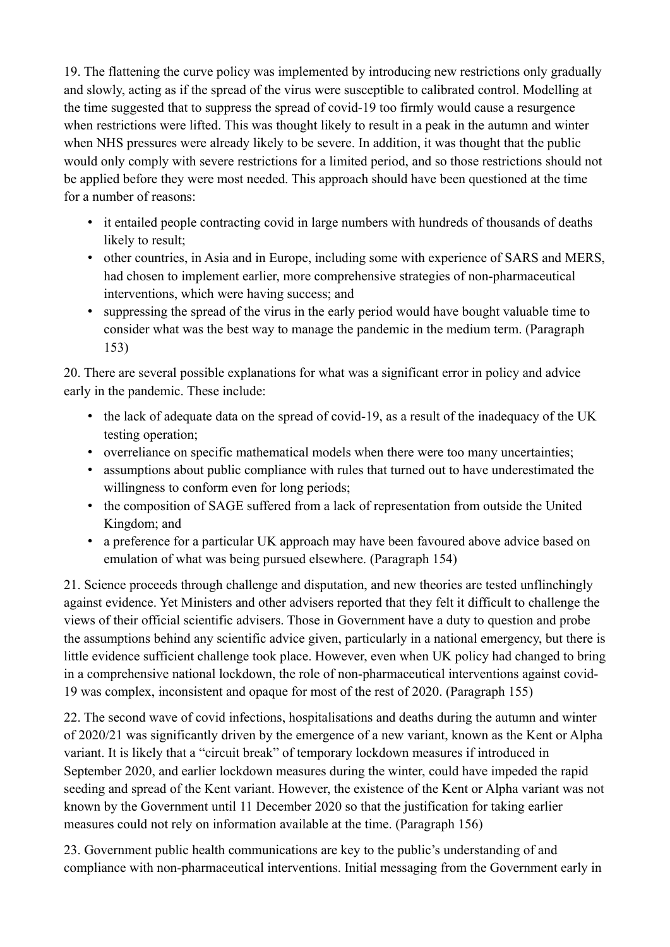19. The flattening the curve policy was implemented by introducing new restrictions only gradually and slowly, acting as if the spread of the virus were susceptible to calibrated control. Modelling at the time suggested that to suppress the spread of covid-19 too firmly would cause a resurgence when restrictions were lifted. This was thought likely to result in a peak in the autumn and winter when NHS pressures were already likely to be severe. In addition, it was thought that the public would only comply with severe restrictions for a limited period, and so those restrictions should not be applied before they were most needed. This approach should have been questioned at the time for a number of reasons:

- it entailed people contracting covid in large numbers with hundreds of thousands of deaths likely to result;
- other countries, in Asia and in Europe, including some with experience of SARS and MERS, had chosen to implement earlier, more comprehensive strategies of non-pharmaceutical interventions, which were having success; and
- suppressing the spread of the virus in the early period would have bought valuable time to consider what was the best way to manage the pandemic in the medium term. (Paragraph 153)

20. There are several possible explanations for what was a significant error in policy and advice early in the pandemic. These include:

- the lack of adequate data on the spread of covid-19, as a result of the inadequacy of the UK testing operation;
- overreliance on specific mathematical models when there were too many uncertainties;
- assumptions about public compliance with rules that turned out to have underestimated the willingness to conform even for long periods;
- the composition of SAGE suffered from a lack of representation from outside the United Kingdom; and
- a preference for a particular UK approach may have been favoured above advice based on emulation of what was being pursued elsewhere. (Paragraph 154)

21. Science proceeds through challenge and disputation, and new theories are tested unflinchingly against evidence. Yet Ministers and other advisers reported that they felt it difficult to challenge the views of their official scientific advisers. Those in Government have a duty to question and probe the assumptions behind any scientific advice given, particularly in a national emergency, but there is little evidence sufficient challenge took place. However, even when UK policy had changed to bring in a comprehensive national lockdown, the role of non-pharmaceutical interventions against covid-19 was complex, inconsistent and opaque for most of the rest of 2020. (Paragraph 155)

22. The second wave of covid infections, hospitalisations and deaths during the autumn and winter of 2020/21 was significantly driven by the emergence of a new variant, known as the Kent or Alpha variant. It is likely that a "circuit break" of temporary lockdown measures if introduced in September 2020, and earlier lockdown measures during the winter, could have impeded the rapid seeding and spread of the Kent variant. However, the existence of the Kent or Alpha variant was not known by the Government until 11 December 2020 so that the justification for taking earlier measures could not rely on information available at the time. (Paragraph 156)

23. Government public health communications are key to the public's understanding of and compliance with non-pharmaceutical interventions. Initial messaging from the Government early in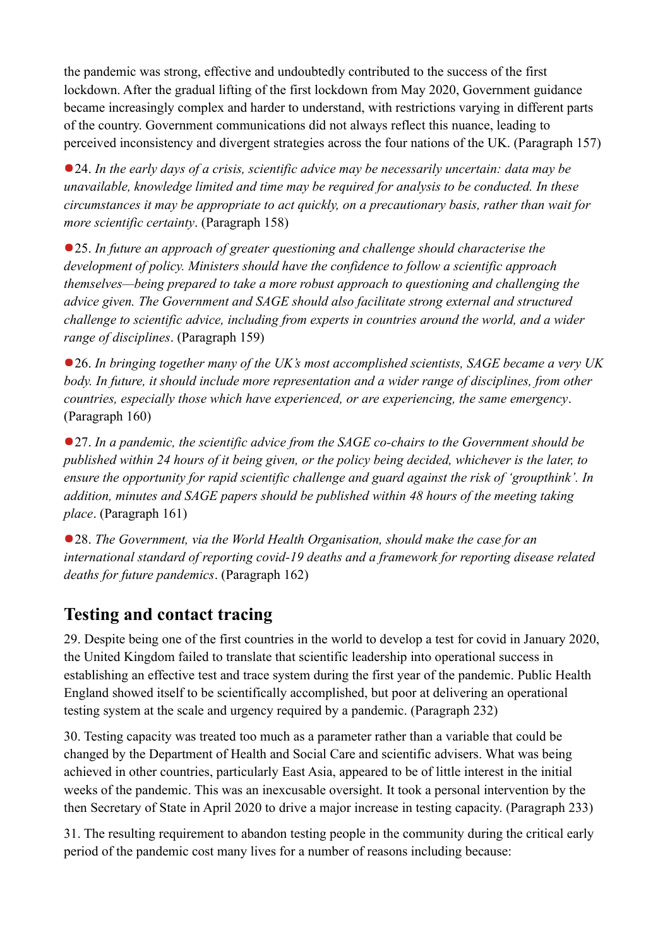the pandemic was strong, effective and undoubtedly contributed to the success of the first lockdown. After the gradual lifting of the first lockdown from May 2020, Government guidance became increasingly complex and harder to understand, with restrictions varying in different parts of the country. Government communications did not always reflect this nuance, leading to perceived inconsistency and divergent strategies across the four nations of the UK. (Paragraph 157)

24. *In the early days of a crisis, scientific advice may be necessarily uncertain: data may be unavailable, knowledge limited and time may be required for analysis to be conducted. In these circumstances it may be appropriate to act quickly, on a precautionary basis, rather than wait for more scientific certainty*. (Paragraph 158)

25. *In future an approach of greater questioning and challenge should characterise the development of policy. Ministers should have the confidence to follow a scientific approach themselves—being prepared to take a more robust approach to questioning and challenging the advice given. The Government and SAGE should also facilitate strong external and structured challenge to scientific advice, including from experts in countries around the world, and a wider range of disciplines*. (Paragraph 159)

26. *In bringing together many of the UK's most accomplished scientists, SAGE became a very UK body. In future, it should include more representation and a wider range of disciplines, from other countries, especially those which have experienced, or are experiencing, the same emergency*. (Paragraph 160)

27. *In a pandemic, the scientific advice from the SAGE co-chairs to the Government should be published within 24 hours of it being given, or the policy being decided, whichever is the later, to ensure the opportunity for rapid scientific challenge and guard against the risk of 'groupthink'. In addition, minutes and SAGE papers should be published within 48 hours of the meeting taking place*. (Paragraph 161)

28. *The Government, via the World Health Organisation, should make the case for an international standard of reporting covid-19 deaths and a framework for reporting disease related deaths for future pandemics*. (Paragraph 162)

### **Testing and contact tracing**

29. Despite being one of the first countries in the world to develop a test for covid in January 2020, the United Kingdom failed to translate that scientific leadership into operational success in establishing an effective test and trace system during the first year of the pandemic. Public Health England showed itself to be scientifically accomplished, but poor at delivering an operational testing system at the scale and urgency required by a pandemic. (Paragraph 232)

30. Testing capacity was treated too much as a parameter rather than a variable that could be changed by the Department of Health and Social Care and scientific advisers. What was being achieved in other countries, particularly East Asia, appeared to be of little interest in the initial weeks of the pandemic. This was an inexcusable oversight. It took a personal intervention by the then Secretary of State in April 2020 to drive a major increase in testing capacity. (Paragraph 233)

31. The resulting requirement to abandon testing people in the community during the critical early period of the pandemic cost many lives for a number of reasons including because: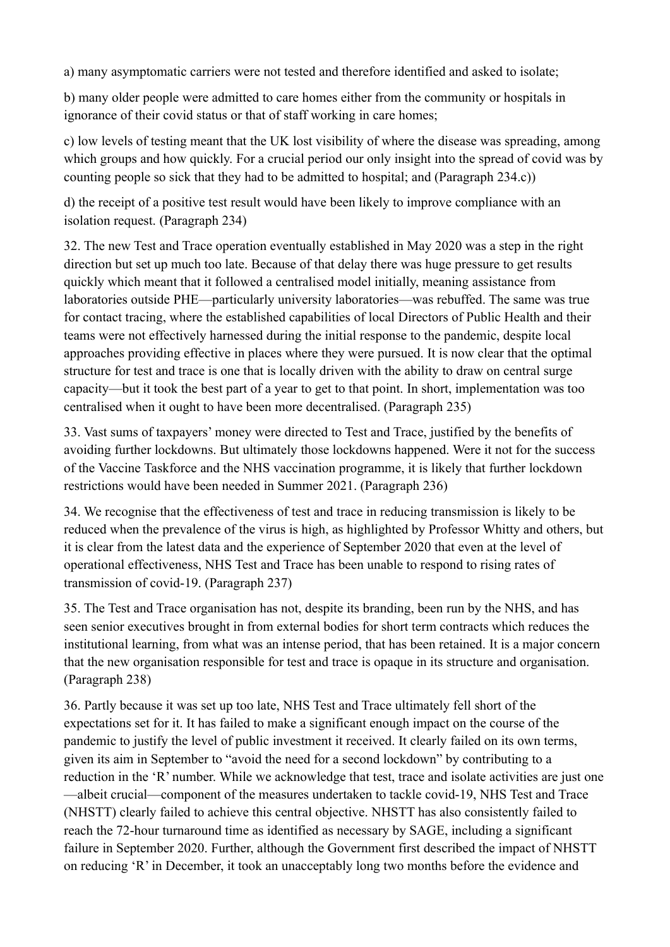a) many asymptomatic carriers were not tested and therefore identified and asked to isolate;

b) many older people were admitted to care homes either from the community or hospitals in ignorance of their covid status or that of staff working in care homes;

c) low levels of testing meant that the UK lost visibility of where the disease was spreading, among which groups and how quickly. For a crucial period our only insight into the spread of covid was by counting people so sick that they had to be admitted to hospital; and (Paragraph 234.c))

d) the receipt of a positive test result would have been likely to improve compliance with an isolation request. (Paragraph 234)

32. The new Test and Trace operation eventually established in May 2020 was a step in the right direction but set up much too late. Because of that delay there was huge pressure to get results quickly which meant that it followed a centralised model initially, meaning assistance from laboratories outside PHE—particularly university laboratories—was rebuffed. The same was true for contact tracing, where the established capabilities of local Directors of Public Health and their teams were not effectively harnessed during the initial response to the pandemic, despite local approaches providing effective in places where they were pursued. It is now clear that the optimal structure for test and trace is one that is locally driven with the ability to draw on central surge capacity—but it took the best part of a year to get to that point. In short, implementation was too centralised when it ought to have been more decentralised. (Paragraph 235)

33. Vast sums of taxpayers' money were directed to Test and Trace, justified by the benefits of avoiding further lockdowns. But ultimately those lockdowns happened. Were it not for the success of the Vaccine Taskforce and the NHS vaccination programme, it is likely that further lockdown restrictions would have been needed in Summer 2021. (Paragraph 236)

34. We recognise that the effectiveness of test and trace in reducing transmission is likely to be reduced when the prevalence of the virus is high, as highlighted by Professor Whitty and others, but it is clear from the latest data and the experience of September 2020 that even at the level of operational effectiveness, NHS Test and Trace has been unable to respond to rising rates of transmission of covid-19. (Paragraph 237)

35. The Test and Trace organisation has not, despite its branding, been run by the NHS, and has seen senior executives brought in from external bodies for short term contracts which reduces the institutional learning, from what was an intense period, that has been retained. It is a major concern that the new organisation responsible for test and trace is opaque in its structure and organisation. (Paragraph 238)

36. Partly because it was set up too late, NHS Test and Trace ultimately fell short of the expectations set for it. It has failed to make a significant enough impact on the course of the pandemic to justify the level of public investment it received. It clearly failed on its own terms, given its aim in September to "avoid the need for a second lockdown" by contributing to a reduction in the 'R' number. While we acknowledge that test, trace and isolate activities are just one —albeit crucial—component of the measures undertaken to tackle covid-19, NHS Test and Trace (NHSTT) clearly failed to achieve this central objective. NHSTT has also consistently failed to reach the 72-hour turnaround time as identified as necessary by SAGE, including a significant failure in September 2020. Further, although the Government first described the impact of NHSTT on reducing 'R' in December, it took an unacceptably long two months before the evidence and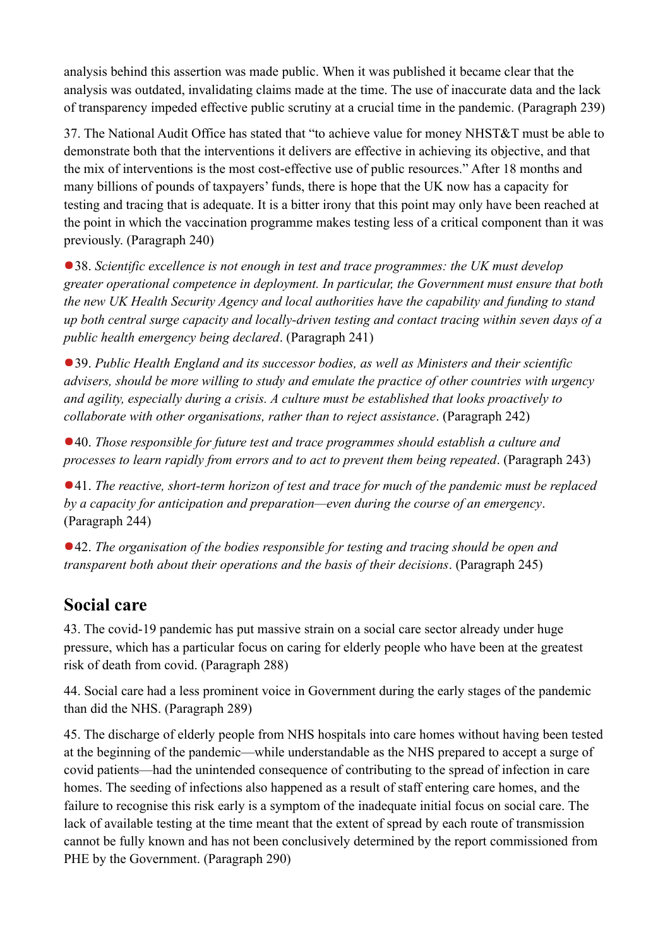analysis behind this assertion was made public. When it was published it became clear that the analysis was outdated, invalidating claims made at the time. The use of inaccurate data and the lack of transparency impeded effective public scrutiny at a crucial time in the pandemic. (Paragraph 239)

37. The National Audit Office has stated that "to achieve value for money NHST&T must be able to demonstrate both that the interventions it delivers are effective in achieving its objective, and that the mix of interventions is the most cost-effective use of public resources." After 18 months and many billions of pounds of taxpayers' funds, there is hope that the UK now has a capacity for testing and tracing that is adequate. It is a bitter irony that this point may only have been reached at the point in which the vaccination programme makes testing less of a critical component than it was previously. (Paragraph 240)

● 38. *Scientific excellence is not enough in test and trace programmes: the UK must develop greater operational competence in deployment. In particular, the Government must ensure that both the new UK Health Security Agency and local authorities have the capability and funding to stand up both central surge capacity and locally-driven testing and contact tracing within seven days of a public health emergency being declared*. (Paragraph 241)

39. *Public Health England and its successor bodies, as well as Ministers and their scientific advisers, should be more willing to study and emulate the practice of other countries with urgency and agility, especially during a crisis. A culture must be established that looks proactively to collaborate with other organisations, rather than to reject assistance*. (Paragraph 242)

40. *Those responsible for future test and trace programmes should establish a culture and processes to learn rapidly from errors and to act to prevent them being repeated*. (Paragraph 243)

41. *The reactive, short-term horizon of test and trace for much of the pandemic must be replaced by a capacity for anticipation and preparation—even during the course of an emergency*. (Paragraph 244)

42. *The organisation of the bodies responsible for testing and tracing should be open and transparent both about their operations and the basis of their decisions*. (Paragraph 245)

### **Social care**

43. The covid-19 pandemic has put massive strain on a social care sector already under huge pressure, which has a particular focus on caring for elderly people who have been at the greatest risk of death from covid. (Paragraph 288)

44. Social care had a less prominent voice in Government during the early stages of the pandemic than did the NHS. (Paragraph 289)

45. The discharge of elderly people from NHS hospitals into care homes without having been tested at the beginning of the pandemic—while understandable as the NHS prepared to accept a surge of covid patients—had the unintended consequence of contributing to the spread of infection in care homes. The seeding of infections also happened as a result of staff entering care homes, and the failure to recognise this risk early is a symptom of the inadequate initial focus on social care. The lack of available testing at the time meant that the extent of spread by each route of transmission cannot be fully known and has not been conclusively determined by the report commissioned from PHE by the Government. (Paragraph 290)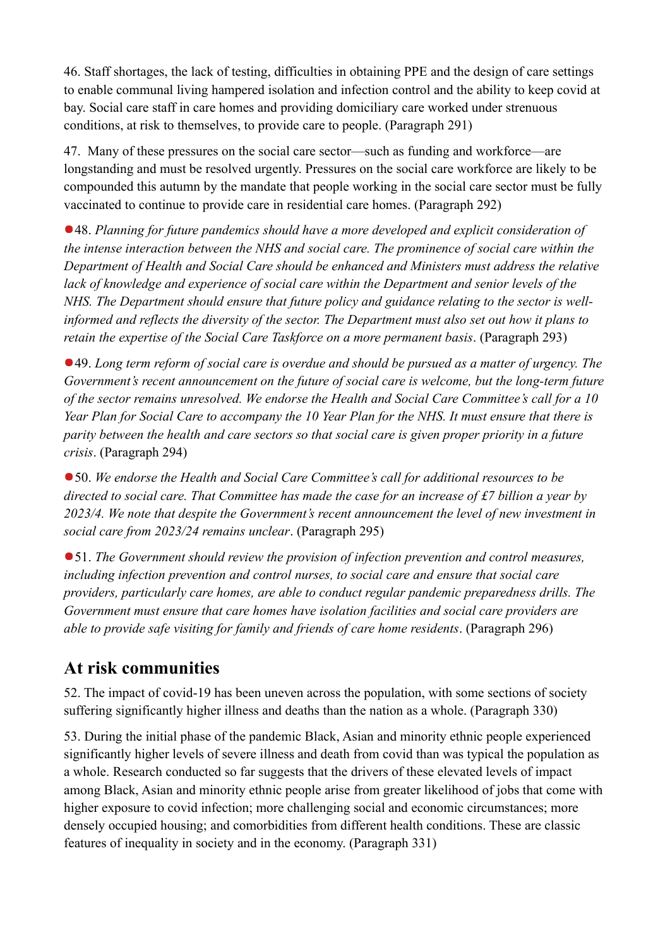46. Staff shortages, the lack of testing, difficulties in obtaining PPE and the design of care settings to enable communal living hampered isolation and infection control and the ability to keep covid at bay. Social care staff in care homes and providing domiciliary care worked under strenuous conditions, at risk to themselves, to provide care to people. (Paragraph 291)

47. Many of these pressures on the social care sector—such as funding and workforce—are longstanding and must be resolved urgently. Pressures on the social care workforce are likely to be compounded this autumn by the mandate that people working in the social care sector must be fully vaccinated to continue to provide care in residential care homes. (Paragraph 292)

48. *Planning for future pandemics should have a more developed and explicit consideration of the intense interaction between the NHS and social care. The prominence of social care within the Department of Health and Social Care should be enhanced and Ministers must address the relative lack of knowledge and experience of social care within the Department and senior levels of the NHS. The Department should ensure that future policy and guidance relating to the sector is wellinformed and reflects the diversity of the sector. The Department must also set out how it plans to retain the expertise of the Social Care Taskforce on a more permanent basis*. (Paragraph 293)

49. *Long term reform of social care is overdue and should be pursued as a matter of urgency. The Government's recent announcement on the future of social care is welcome, but the long-term future of the sector remains unresolved. We endorse the Health and Social Care Committee's call for a 10 Year Plan for Social Care to accompany the 10 Year Plan for the NHS. It must ensure that there is parity between the health and care sectors so that social care is given proper priority in a future crisis*. (Paragraph 294)

50. *We endorse the Health and Social Care Committee's call for additional resources to be directed to social care. That Committee has made the case for an increase of £7 billion a year by 2023/4. We note that despite the Government's recent announcement the level of new investment in social care from 2023/24 remains unclear*. (Paragraph 295)

51. *The Government should review the provision of infection prevention and control measures, including infection prevention and control nurses, to social care and ensure that social care providers, particularly care homes, are able to conduct regular pandemic preparedness drills. The Government must ensure that care homes have isolation facilities and social care providers are able to provide safe visiting for family and friends of care home residents*. (Paragraph 296)

### **At risk communities**

52. The impact of covid-19 has been uneven across the population, with some sections of society suffering significantly higher illness and deaths than the nation as a whole. (Paragraph 330)

53. During the initial phase of the pandemic Black, Asian and minority ethnic people experienced significantly higher levels of severe illness and death from covid than was typical the population as a whole. Research conducted so far suggests that the drivers of these elevated levels of impact among Black, Asian and minority ethnic people arise from greater likelihood of jobs that come with higher exposure to covid infection; more challenging social and economic circumstances; more densely occupied housing; and comorbidities from different health conditions. These are classic features of inequality in society and in the economy. (Paragraph 331)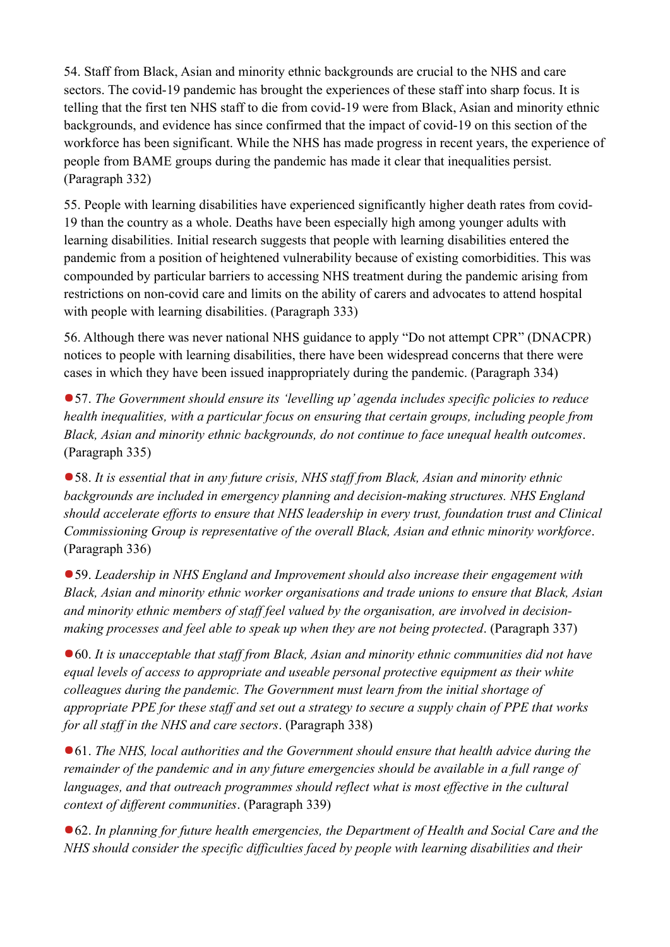54. Staff from Black, Asian and minority ethnic backgrounds are crucial to the NHS and care sectors. The covid-19 pandemic has brought the experiences of these staff into sharp focus. It is telling that the first ten NHS staff to die from covid-19 were from Black, Asian and minority ethnic backgrounds, and evidence has since confirmed that the impact of covid-19 on this section of the workforce has been significant. While the NHS has made progress in recent years, the experience of people from BAME groups during the pandemic has made it clear that inequalities persist. (Paragraph 332)

55. People with learning disabilities have experienced significantly higher death rates from covid-19 than the country as a whole. Deaths have been especially high among younger adults with learning disabilities. Initial research suggests that people with learning disabilities entered the pandemic from a position of heightened vulnerability because of existing comorbidities. This was compounded by particular barriers to accessing NHS treatment during the pandemic arising from restrictions on non-covid care and limits on the ability of carers and advocates to attend hospital with people with learning disabilities. (Paragraph 333)

56. Although there was never national NHS guidance to apply "Do not attempt CPR" (DNACPR) notices to people with learning disabilities, there have been widespread concerns that there were cases in which they have been issued inappropriately during the pandemic. (Paragraph 334)

57. *The Government should ensure its 'levelling up' agenda includes specific policies to reduce health inequalities, with a particular focus on ensuring that certain groups, including people from Black, Asian and minority ethnic backgrounds, do not continue to face unequal health outcomes*. (Paragraph 335)

58. *It is essential that in any future crisis, NHS staff from Black, Asian and minority ethnic backgrounds are included in emergency planning and decision-making structures. NHS England should accelerate efforts to ensure that NHS leadership in every trust, foundation trust and Clinical Commissioning Group is representative of the overall Black, Asian and ethnic minority workforce*. (Paragraph 336)

59. *Leadership in NHS England and Improvement should also increase their engagement with Black, Asian and minority ethnic worker organisations and trade unions to ensure that Black, Asian and minority ethnic members of staff feel valued by the organisation, are involved in decisionmaking processes and feel able to speak up when they are not being protected*. (Paragraph 337)

60. *It is unacceptable that staff from Black, Asian and minority ethnic communities did not have equal levels of access to appropriate and useable personal protective equipment as their white colleagues during the pandemic. The Government must learn from the initial shortage of appropriate PPE for these staff and set out a strategy to secure a supply chain of PPE that works for all staff in the NHS and care sectors*. (Paragraph 338)

61. *The NHS, local authorities and the Government should ensure that health advice during the remainder of the pandemic and in any future emergencies should be available in a full range of*  languages, and that outreach programmes should reflect what is most effective in the cultural *context of different communities*. (Paragraph 339)

■62. In planning for future health emergencies, the Department of Health and Social Care and the *NHS should consider the specific difficulties faced by people with learning disabilities and their*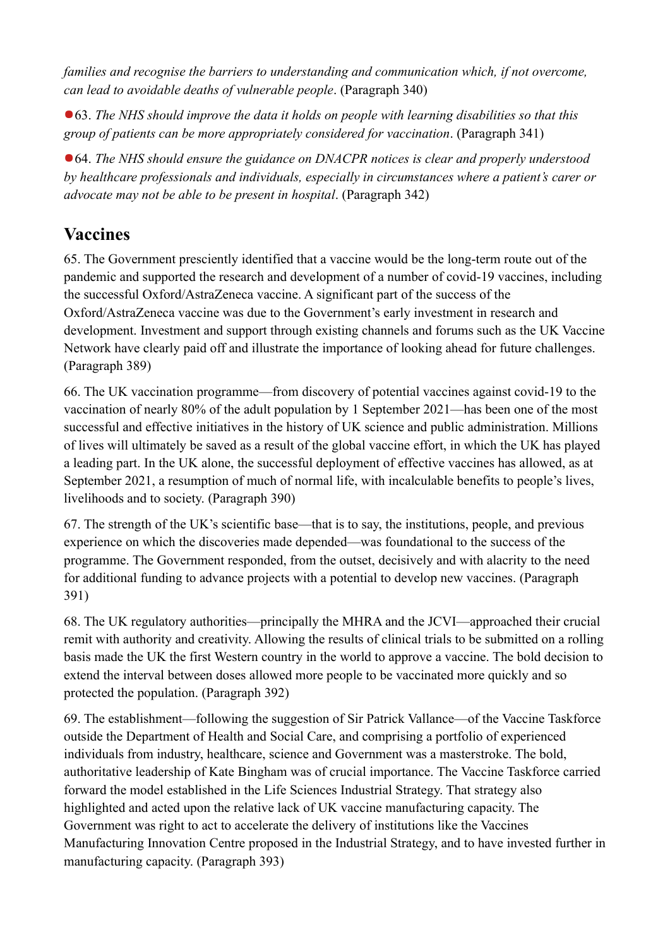*families and recognise the barriers to understanding and communication which, if not overcome, can lead to avoidable deaths of vulnerable people*. (Paragraph 340)

63. *The NHS should improve the data it holds on people with learning disabilities so that this group of patients can be more appropriately considered for vaccination*. (Paragraph 341)

64. *The NHS should ensure the guidance on DNACPR notices is clear and properly understood by healthcare professionals and individuals, especially in circumstances where a patient's carer or advocate may not be able to be present in hospital*. (Paragraph 342)

### **Vaccines**

65. The Government presciently identified that a vaccine would be the long-term route out of the pandemic and supported the research and development of a number of covid-19 vaccines, including the successful Oxford/AstraZeneca vaccine. A significant part of the success of the Oxford/AstraZeneca vaccine was due to the Government's early investment in research and development. Investment and support through existing channels and forums such as the UK Vaccine Network have clearly paid off and illustrate the importance of looking ahead for future challenges. (Paragraph 389)

66. The UK vaccination programme—from discovery of potential vaccines against covid-19 to the vaccination of nearly 80% of the adult population by 1 September 2021—has been one of the most successful and effective initiatives in the history of UK science and public administration. Millions of lives will ultimately be saved as a result of the global vaccine effort, in which the UK has played a leading part. In the UK alone, the successful deployment of effective vaccines has allowed, as at September 2021, a resumption of much of normal life, with incalculable benefits to people's lives, livelihoods and to society. (Paragraph 390)

67. The strength of the UK's scientific base—that is to say, the institutions, people, and previous experience on which the discoveries made depended—was foundational to the success of the programme. The Government responded, from the outset, decisively and with alacrity to the need for additional funding to advance projects with a potential to develop new vaccines. (Paragraph 391)

68. The UK regulatory authorities—principally the MHRA and the JCVI—approached their crucial remit with authority and creativity. Allowing the results of clinical trials to be submitted on a rolling basis made the UK the first Western country in the world to approve a vaccine. The bold decision to extend the interval between doses allowed more people to be vaccinated more quickly and so protected the population. (Paragraph 392)

69. The establishment—following the suggestion of Sir Patrick Vallance—of the Vaccine Taskforce outside the Department of Health and Social Care, and comprising a portfolio of experienced individuals from industry, healthcare, science and Government was a masterstroke. The bold, authoritative leadership of Kate Bingham was of crucial importance. The Vaccine Taskforce carried forward the model established in the Life Sciences Industrial Strategy. That strategy also highlighted and acted upon the relative lack of UK vaccine manufacturing capacity. The Government was right to act to accelerate the delivery of institutions like the Vaccines Manufacturing Innovation Centre proposed in the Industrial Strategy, and to have invested further in manufacturing capacity. (Paragraph 393)